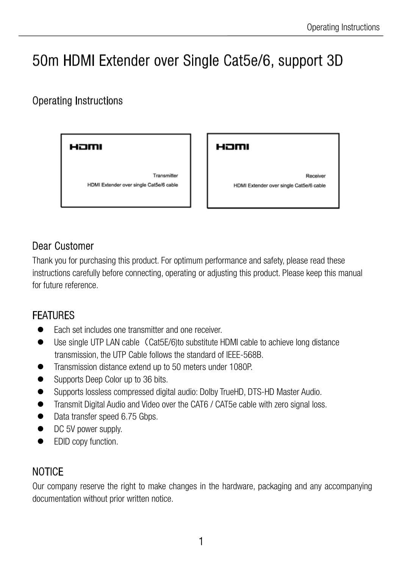# 50m HDMI Extender over Single Cat5e/6, support 3D

# Operating Instructions

Hamı

Transmitter HDMI Extender over single Cat5e/6 cable Hamı

Receiver HDMI Extender over single Cat5e/6 cable

## Dear Customer

Thank you for purchasing this product. For optimum performance and safety, please read these instructions carefully before connecting, operating or adjusting this product. Please keep this manual for future reference.

## FEATURES

- Each set includes one transmitter and one receiver.
- Use single UTP LAN cable (Cat5E/6)to substitute HDMI cable to achieve long distance transmission, the UTP Cable follows the standard of IEEE-568B.
- Transmission distance extend up to 50 meters under 1080P.
- Supports Deep Color up to 36 bits.
- Supports lossless compressed digital audio: Dolby TrueHD, DTS-HD Master Audio.
- Transmit Digital Audio and Video over the CAT6 / CAT5e cable with zero signal loss.
- Data transfer speed 6.75 Gbps.
- $\bullet$  DC 5V power supply.
- EDID copy function.

# **NOTICE**

Our company reserve the right to make changes in the hardware, packaging and any accompanying documentation without prior written notice.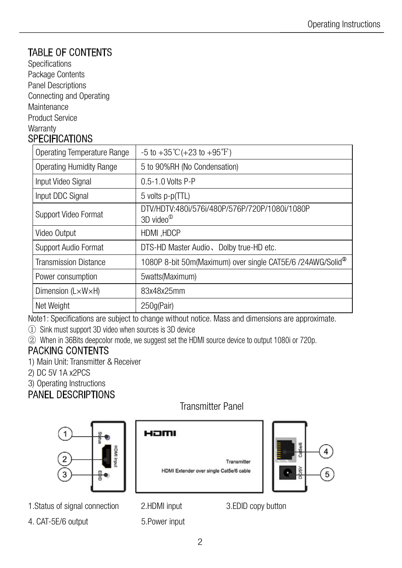## TABLE OF CONTENTS

Specifications Package Contents Panel Descriptions Connecting and Operating **Maintenance** Product Service **Warranty** 

#### **SPECIFICATIONS**

| <b>Operating Temperature Range</b> | $-5$ to $+35^{\circ}$ C( $+23$ to $+95^{\circ}$ F)                     |
|------------------------------------|------------------------------------------------------------------------|
| <b>Operating Humidity Range</b>    | 5 to 90%RH (No Condensation)                                           |
| Input Video Signal                 | 0.5-1.0 Volts P-P                                                      |
| Input DDC Signal                   | 5 volts p-p(TTL)                                                       |
| <b>Support Video Format</b>        | DTV/HDTV:480i/576i/480P/576P/720P/1080i/1080P<br>3D video <sup>®</sup> |
| Video Output                       | HDMI, HDCP                                                             |
| <b>Support Audio Format</b>        | DTS-HD Master Audio, Dolby true-HD etc.                                |
| <b>Transmission Distance</b>       | 1080P 8-bit 50m(Maximum) over single CAT5E/6 /24AWG/Solid <sup>®</sup> |
| Power consumption                  | 5watts(Maximum)                                                        |
| Dimension $(L \times W \times H)$  | 83x48x25mm                                                             |
| Net Weight                         | 250g(Pair)                                                             |

Note1: Specifications are subject to change without notice. Mass and dimensions are approximate.

① Sink must support 3D video when sources is 3D device

② When in 36Bits deepcolor mode, we suggest set the HDMI source device to output 1080i or 720p.

#### PACKING CONTENTS

1) Main Unit: Transmitter & Receiver

- 2) DC 5V 1A x2PCS
- 3) Operating Instructions

#### PANEL DESCRIPTIONS



1.Status of signal connection 2.HDMI input 3.EDID copy button

4. CAT-5E/6 output 5. Power input

HƏMI

Transmitter



Transmitter Panel

HDMI Extender over single Cat5e/6 cable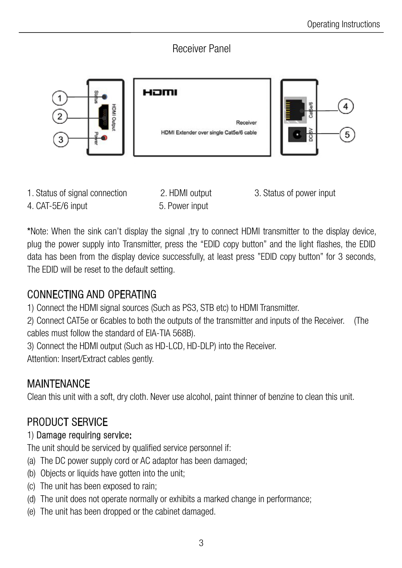#### Receiver Panel



1. Status of signal connection 2. HDMI output 3. Status of power input

4. CAT-5E/6 input 5. Power input

\*Note: When the sink can't display the signal ,try to connect HDMI transmitter to the display device, plug the power supply into Transmitter, press the "EDID copy button" and the light flashes, the EDID data has been from the display device successfully, at least press "EDID copy button" for 3 seconds, The EDID will be reset to the default setting.

# CONNECTING AND OPERATING

1) Connect the HDMI signal sources (Such as PS3, STB etc) to HDMI Transmitter.

2) Connect CAT5e or 6cables to both the outputs of the transmitter and inputs of the Receiver. (The cables must follow the standard of EIA-TIA 568B).

3) Connect the HDMI output (Such as HD-LCD, HD-DLP) into the Receiver.

Attention: Insert/Extract cables gently.

# **MAINTENANCE**

Clean this unit with a soft, dry cloth. Never use alcohol, paint thinner of benzine to clean this unit.

# PRODUCT SERVICE

#### 1) Damage requiring service:

The unit should be serviced by qualified service personnel if:

- (a) The DC power supply cord or AC adaptor has been damaged;
- (b) Objects or liquids have gotten into the unit;
- (c) The unit has been exposed to rain;
- (d) The unit does not operate normally or exhibits a marked change in performance;
- (e) The unit has been dropped or the cabinet damaged.